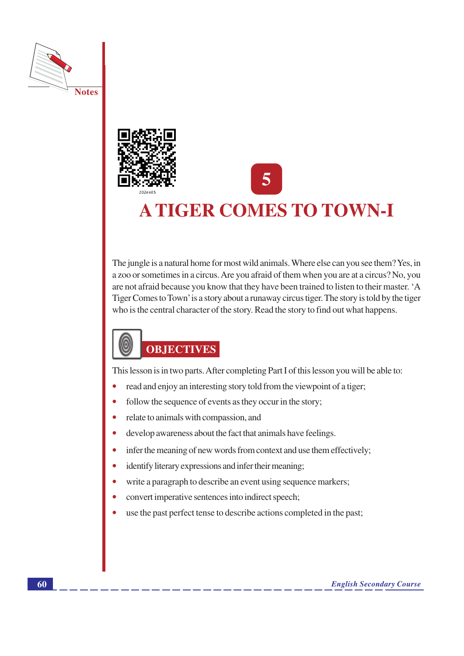



# **A TIGER COMES TO TOWN-I**

The jungle is a natural home for most wild animals. Where else can you see them? Yes, in a zoo or sometimes in a circus. Are you afraid of them when you are at a circus? No, you are not afraid because you know that they have been trained to listen to their master. 'A Tiger Comes to Town' is a story about a runaway circus tiger. The story is told by the tiger who is the central character of the story. Read the story to find out what happens.

# 0 **OBJECTIVES**

This lesson is in two parts. After completing Part I of this lesson you will be able to:

- read and enjoy an interesting story told from the viewpoint of a tiger;
- follow the sequence of events as they occur in the story;  $\bullet$
- $\bullet$ relate to animals with compassion, and
- develop awareness about the fact that animals have feelings.  $\bullet$
- infer the meaning of new words from context and use them effectively;  $\bullet$
- identify literary expressions and infer their meaning;
- write a paragraph to describe an event using sequence markers;
- convert imperative sentences into indirect speech;
- use the past perfect tense to describe actions completed in the past;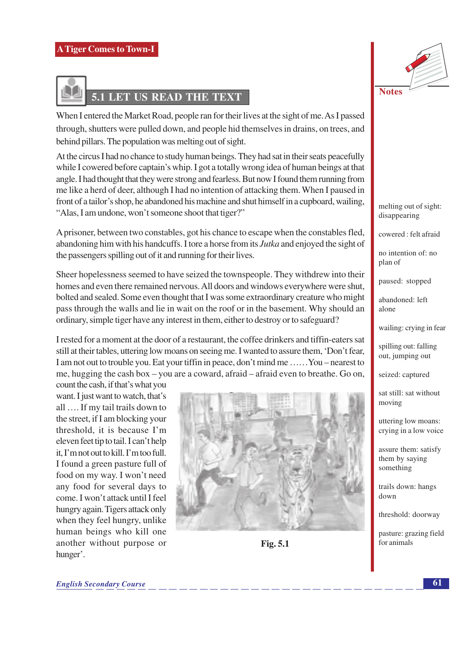

# 5.1 LET US READ THE TEXT

When I entered the Market Road, people ran for their lives at the sight of me. As I passed through, shutters were pulled down, and people hid themselves in drains, on trees, and behind pillars. The population was melting out of sight.

At the circus I had no chance to study human beings. They had sat in their seats peacefully while I cowered before captain's whip. I got a totally wrong idea of human beings at that angle. I had thought that they were strong and fearless. But now I found them running from me like a herd of deer, although I had no intention of attacking them. When I paused in front of a tailor's shop, he abandoned his machine and shut himself in a cupboard, wailing, "Alas, I am undone, won't someone shoot that tiger?"

A prisoner, between two constables, got his chance to escape when the constables fled, abandoning him with his handcuffs. I tore a horse from its *Jutka* and enjoyed the sight of the passengers spilling out of it and running for their lives.

Sheer hopelessness seemed to have seized the townspeople. They with drew into their homes and even there remained nervous. All doors and windows everywhere were shut, bolted and sealed. Some even thought that I was some extraordinary creature who might pass through the walls and lie in wait on the roof or in the basement. Why should an ordinary, simple tiger have any interest in them, either to destroy or to safeguard?

I rested for a moment at the door of a restaurant, the coffee drinkers and tiffin-eaters sat still at their tables, uttering low moans on seeing me. I wanted to assure them, 'Don't fear, I am not out to trouble you. Eat your tiffin in peace, don't mind me ...... You – nearest to me, hugging the cash box – you are a coward, afraid – afraid even to breathe. Go on,

count the cash, if that's what you want. I just want to watch, that's all .... If my tail trails down to the street, if I am blocking your threshold, it is because I'm eleven feet tip to tail. I can't help it. I'm not out to kill. I'm too full. I found a green pasture full of food on my way. I won't need any food for several days to come. I won't attack until I feel hungry again. Tigers attack only when they feel hungry, unlike human beings who kill one another without purpose or hunger'.



Fig. 5.1



melting out of sight: disappearing

cowered: felt afraid

no intention of: no plan of

paused: stopped

abandoned: left alone

wailing: crying in fear

spilling out: falling out, jumping out

seized: captured

sat still: sat without moving

uttering low moans: crying in a low voice

assure them: satisfy them by saving something

trails down: hangs down

threshold: doorway

pasture: grazing field for animals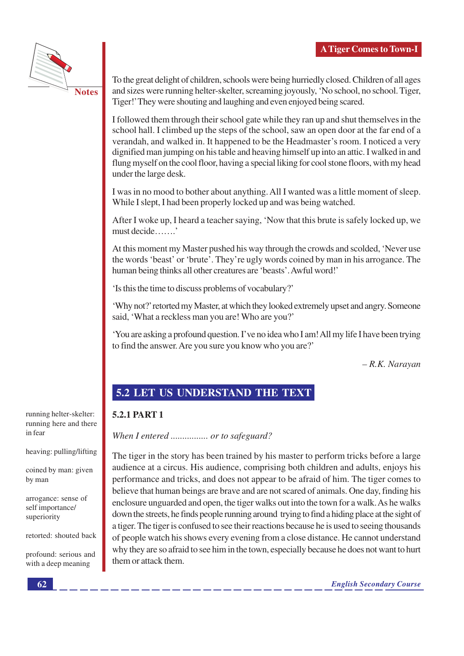

**Notes** 

To the great delight of children, schools were being hurriedly closed. Children of all ages and sizes were running helter-skelter, screaming joyously, 'No school, no school. Tiger, Tiger!' They were shouting and laughing and even enjoyed being scared.

I followed them through their school gate while they ran up and shut themselves in the school hall. I climbed up the steps of the school, saw an open door at the far end of a verandah, and walked in. It happened to be the Headmaster's room. I noticed a very dignified man jumping on his table and heaving himself up into an attic. I walked in and flung myself on the cool floor, having a special liking for cool stone floors, with my head under the large desk.

I was in no mood to bother about anything. All I wanted was a little moment of sleep. While I slept, I had been properly locked up and was being watched.

After I woke up, I heard a teacher saying, 'Now that this brute is safely locked up, we must decide.......

At this moment my Master pushed his way through the crowds and scolded, 'Never use the words 'beast' or 'brute'. They're ugly words coined by man in his arrogance. The human being thinks all other creatures are 'beasts'. Awful word!'

'Is this the time to discuss problems of vocabulary?'

'Why not?' retorted my Master, at which they looked extremely upset and angry. Someone said, 'What a reckless man you are! Who are you?'

'You are asking a profound question. I've no idea who I am! All my life I have been trying to find the answer. Are you sure you know who you are?'

 $-R.K.$  Narayan

# 5.2 LET US UNDERSTAND THE TEXT

## 5.2.1 PART 1

When I entered ................ or to safeguard?

The tiger in the story has been trained by his master to perform tricks before a large audience at a circus. His audience, comprising both children and adults, enjoys his performance and tricks, and does not appear to be afraid of him. The tiger comes to believe that human beings are brave and are not scared of animals. One day, finding his enclosure unguarded and open, the tiger walks out into the town for a walk. As he walks down the streets, he finds people running around trying to find a hiding place at the sight of a tiger. The tiger is confused to see their reactions because he is used to seeing thousands of people watch his shows every evening from a close distance. He cannot understand why they are so afraid to see him in the town, especially because he does not want to hurt them or attack them.

running helter-skelter: running here and there in fear

heaving: pulling/lifting

coined by man: given by man

arrogance: sense of self importance/ superiority

retorted: shouted back

profound: serious and with a deep meaning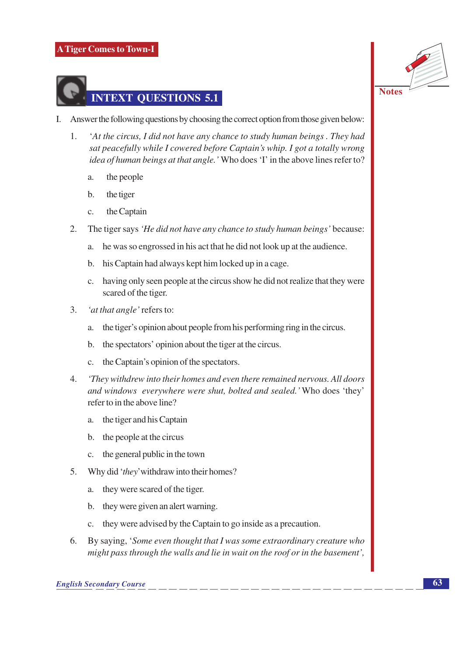



- Answer the following questions by choosing the correct option from those given below: I.
	- 'At the circus, I did not have any chance to study human beings. They had 1. sat peacefully while I cowered before Captain's whip. I got a totally wrong *idea of human beings at that angle.* 'Who does 'I' in the above lines refer to?
		- the people  $\overline{a}$ .
		- $<sub>b</sub>$ </sub> the tiger
		- $\mathbf{C}$ . the Captain
	- The tiger says 'He did not have any chance to study human beings' because:  $\overline{2}$ .
		- he was so engrossed in his act that he did not look up at the audience. a.
		- his Captain had always kept him locked up in a cage.  $\mathbf{b}$ .
		- c. having only seen people at the circus show he did not realize that they were scared of the tiger.
	- 3. 'at that angle' refers to:
		- the tiger's opinion about people from his performing ring in the circus.  $\alpha$ .
		- the spectators' opinion about the tiger at the circus. b.
		- the Captain's opinion of the spectators.  $\mathbf{c}$ .
	- 4. 'They withdrew into their homes and even there remained nervous. All doors and windows everywhere were shut, bolted and sealed.' Who does 'they' refer to in the above line?
		- a. the tiger and his Captain
		- the people at the circus  $\mathbf{b}$ .
		- the general public in the town  $\mathbf{C}$ .
	- 5. Why did '*they*' withdraw into their homes?
		- they were scared of the tiger.  $a_{\cdot}$
		- they were given an alert warning.  $\mathbf{b}$ .
		- they were advised by the Captain to go inside as a precaution.  $\mathbf{c}$ .
	- By saying, 'Some even thought that I was some extraordinary creature who 6. might pass through the walls and lie in wait on the roof or in the basement',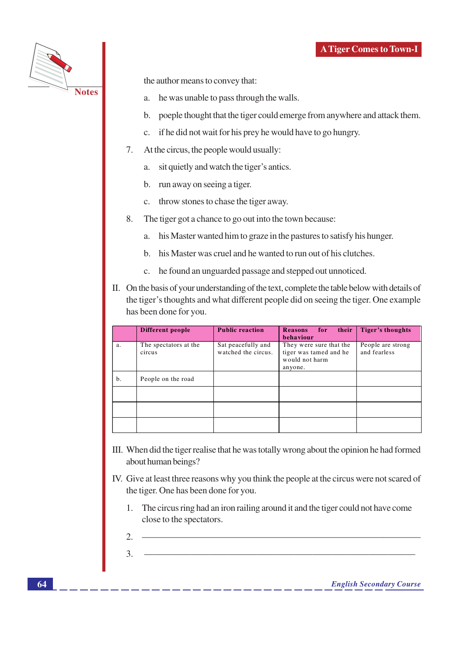

the author means to convey that:

- he was unable to pass through the walls. a.
- b. poeple thought that the tiger could emerge from anywhere and attack them.
- if he did not wait for his prey he would have to go hungry.  $c.$
- At the circus, the people would usually: 7.
	- a. sit quietly and watch the tiger's antics.
	- b. run away on seeing a tiger.
	- c. throw stones to chase the tiger away.
- $8<sub>1</sub>$ The tiger got a chance to go out into the town because:
	- a. his Master wanted him to graze in the pastures to satisfy his hunger.
	- b. his Master was cruel and he wanted to run out of his clutches.
	- c. he found an unguarded passage and stepped out unnoticed.
- II. On the basis of your understanding of the text, complete the table below with details of the tiger's thoughts and what different people did on seeing the tiger. One example has been done for you.

|    | Different people                | <b>Public reaction</b>                    | <b>Reasons</b><br>for<br>their  <br>behaviour                                  | Tiger's thoughts                  |
|----|---------------------------------|-------------------------------------------|--------------------------------------------------------------------------------|-----------------------------------|
| a. | The spectators at the<br>circus | Sat peacefully and<br>watched the circus. | They were sure that the<br>tiger was tamed and he<br>would not harm<br>anyone. | People are strong<br>and fearless |
| b. | People on the road              |                                           |                                                                                |                                   |
|    |                                 |                                           |                                                                                |                                   |
|    |                                 |                                           |                                                                                |                                   |
|    |                                 |                                           |                                                                                |                                   |

- III. When did the tiger realise that he was totally wrong about the opinion he had formed about human beings?
- IV. Give at least three reasons why you think the people at the circus were not scared of the tiger. One has been done for you.
	- The circus ring had an iron railing around it and the tiger could not have come 1. close to the spectators.
	- $\mathcal{D}_{\alpha}$

 $\overline{3}$ .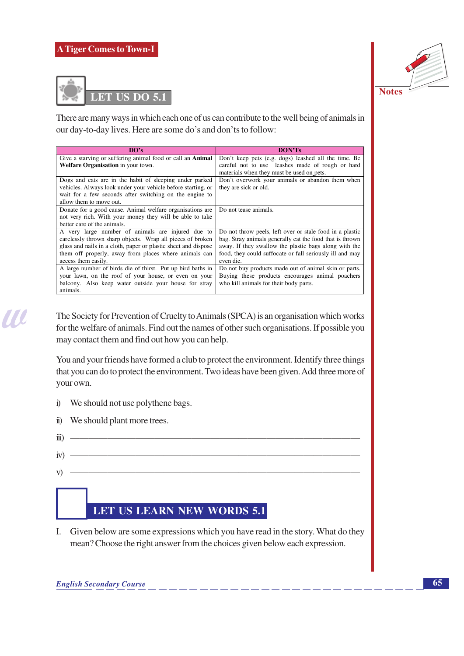



There are many ways in which each one of us can contribute to the well being of animals in our day-to-day lives. Here are some do's and don'ts to follow:

| DO's                                                              | <b>DON'Ts</b>                                            |
|-------------------------------------------------------------------|----------------------------------------------------------|
| Give a starving or suffering animal food or call an <b>Animal</b> | Don't keep pets (e.g. dogs) leashed all the time. Be     |
| Welfare Organisation in your town.                                | careful not to use leashes made of rough or hard         |
|                                                                   | materials when they must be used on pets.                |
| Dogs and cats are in the habit of sleeping under parked           | Don't overwork your animals or abandon them when         |
| vehicles. Always look under your vehicle before starting, or      | they are sick or old.                                    |
| wait for a few seconds after switching on the engine to           |                                                          |
| allow them to move out.                                           |                                                          |
| Donate for a good cause. Animal welfare organisations are         | Do not tease animals.                                    |
| not very rich. With your money they will be able to take          |                                                          |
| better care of the animals.                                       |                                                          |
| A very large number of animals are injured due to                 | Do not throw peels, left over or stale food in a plastic |
| carelessly thrown sharp objects. Wrap all pieces of broken        | bag. Stray animals generally eat the food that is thrown |
| glass and nails in a cloth, paper or plastic sheet and dispose    | away. If they swallow the plastic bags along with the    |
| them off properly, away from places where animals can             | food, they could suffocate or fall seriously ill and may |
| access them easily.                                               | even die.                                                |
| A large number of birds die of thirst. Put up bird baths in       | Do not buy products made out of animal skin or parts.    |
| your lawn, on the roof of your house, or even on your             | Buying these products encourages animal poachers         |
| balcony. Also keep water outside your house for stray             | who kill animals for their body parts.                   |
| animals.                                                          |                                                          |

The Society for Prevention of Cruelty to Animals (SPCA) is an organisation which works for the welfare of animals. Find out the names of other such organisations. If possible you may contact them and find out how you can help.

You and your friends have formed a club to protect the environment. Identify three things that you can do to protect the environment. Two ideas have been given. Add three more of your own.

We should not use polythene bags.  $i)$ ii) We should plant more trees.  $\dddot{\mathbf{m}}$   $iv) \vec{v}$ 

# LET US LEARN NEW WORDS 5.1

I. Given below are some expressions which you have read in the story. What do they mean? Choose the right answer from the choices given below each expression.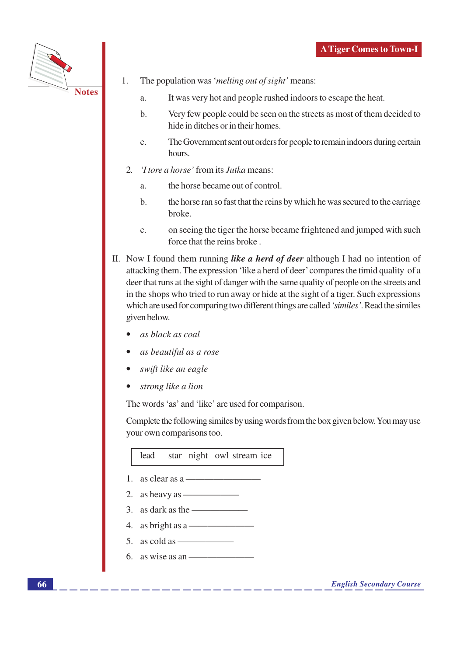

- 1. The population was 'melting out of sight' means:
	- It was very hot and people rushed indoors to escape the heat.  $\mathbf{a}$ .
	- Very few people could be seen on the streets as most of them decided to  $h_{\cdot}$ hide in ditches or in their homes.
	- The Government sent out orders for people to remain indoors during certain  $\mathbf{c}$ . hours.
- $2<sup>1</sup>$ *'I tore a horse'* from its *Jutka* means:
	- the horse became out of control.  $\overline{a}$
	- $h$ the horse ran so fast that the reins by which he was secured to the carriage broke.
	- on seeing the tiger the horse became frightened and jumped with such  $\mathbf{C}$ . force that the reins broke.
- II. Now I found them running like a herd of deer although I had no intention of attacking them. The expression 'like a herd of deer' compares the timid quality of a deer that runs at the sight of danger with the same quality of people on the streets and in the shops who tried to run away or hide at the sight of a tiger. Such expressions which are used for comparing two different things are called 'similes'. Read the similes given below.
	- as black as coal
	- as beautiful as a rose
	- swift like an eagle
	- strong like a lion

The words 'as' and 'like' are used for comparison.

Complete the following similes by using words from the box given below. You may use your own comparisons too.

star night owl stream ice lead

- 1. as clear as  $a \rightarrow a$
- 2. as heavy as  $\overline{\phantom{a}}$
- 3. as dark as the  $-\frac{1}{2}$
- 4. as bright as a  $\overline{\phantom{a}}$
- 5. as cold as  $\overline{\phantom{a}}$
- 6. as wise as an  $\overline{\phantom{a}}$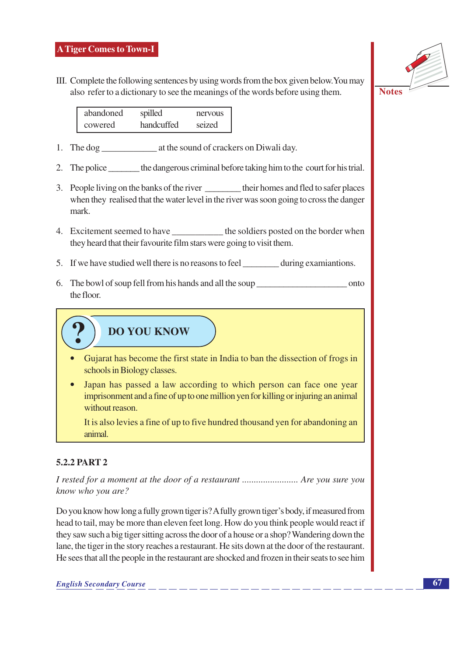III. Complete the following sentences by using words from the box given below. You may also refer to a dictionary to see the meanings of the words before using them.

| abandoned | spilled    | nervous |
|-----------|------------|---------|
| cowered   | handcuffed | seized  |

- 
- 2. The police the dangerous criminal before taking him to the court for his trial.
- 3. People living on the banks of the river \_\_\_\_\_\_\_\_\_ their homes and fled to safer places when they realised that the water level in the river was soon going to cross the danger mark.
- 4. Excitement seemed to have \_\_\_\_\_\_\_\_\_\_\_\_\_ the soldiers posted on the border when they heard that their favourite film stars were going to visit them.
- 5. If we have studied well there is no reasons to feel \_\_\_\_\_\_\_\_\_\_ during examiantions.
- the floor.
	- **DO YOU KNOW**
	- Gujarat has become the first state in India to ban the dissection of frogs in schools in Biology classes.
	- Japan has passed a law according to which person can face one year imprisonment and a fine of up to one million yen for killing or injuring an animal without reason.

It is also levies a fine of up to five hundred thousand ven for abandoning an animal.

## 5.2.2 PART 2

I rested for a moment at the door of a restaurant ............................. Are you sure you know who you are?

Do you know how long a fully grown tiger is? A fully grown tiger's body, if measured from head to tail, may be more than eleven feet long. How do you think people would react if they saw such a big tiger sitting across the door of a house or a shop? Wandering down the lane, the tiger in the story reaches a restaurant. He sits down at the door of the restaurant. He sees that all the people in the restaurant are shocked and frozen in their seats to see him



**Notes**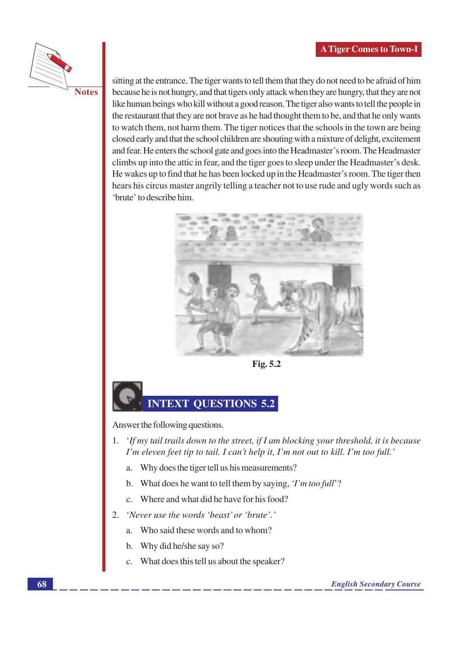

sitting at the entrance. The tiger wants to tell them that they do not need to be afraid of him because he is not hungry, and that tigers only attack when they are hungry, that they are not like human beings who kill without a good reason. The tiger also wants to tell the people in the restaurant that they are not brave as he had thought them to be, and that he only wants to watch them, not harm them. The tiger notices that the schools in the town are being closed early and that the school children are shouting with a mixture of delight, excitement and fear. He enters the school gate and goes into the Headmaster's room. The Headmaster climbs up into the attic in fear, and the tiger goes to sleep under the Headmaster's desk. He wakes up to find that he has been locked up in the Headmaster's room. The tiger then hears his circus master angrily telling a teacher not to use rude and ugly words such as 'brute' to describe him.



Fig. 5.2

# **INTEXT QUESTIONS 5.2**

Answer the following questions.

- 1. 'If my tail trails down to the street, if I am blocking your threshold, it is because I'm eleven feet tip to tail. I can't help it, I'm not out to kill. I'm too full.'
	- Why does the tiger tell us his measurements? a.
	- What does he want to tell them by saying, *T'm too full*? b.
	- c. Where and what did he have for his food?
- 'Never use the words 'beast' or 'brute'.'  $\overline{2}$ .
	- Who said these words and to whom? a.
	- Why did he/she say so?  $\mathbf b$ .
	- What does this tell us about the speaker?  $\overline{c}$ .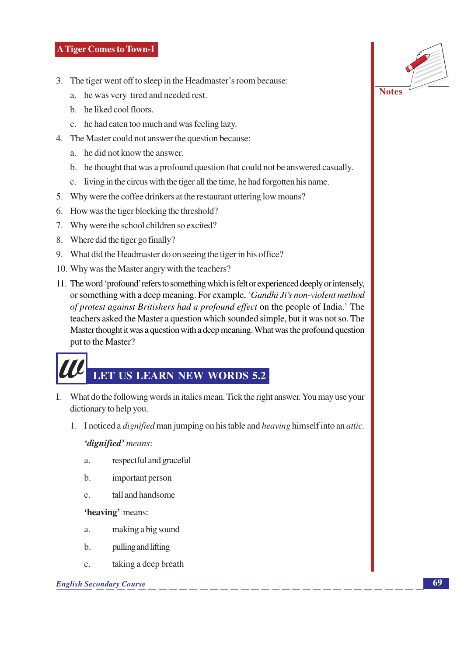- 3. The tiger went off to sleep in the Headmaster's room because:
	- a. he was very tired and needed rest.
	- b. he liked cool floors.
	- c. he had eaten too much and was feeling lazy.
- 4. The Master could not answer the question because:
	- a. he did not know the answer.
	- b. he thought that was a profound question that could not be answered casually.
	- c. living in the circus with the tiger all the time, he had forgotten his name.
- 5. Why were the coffee drinkers at the restaurant uttering low moans?
- 6. How was the tiger blocking the threshold?
- 7. Why were the school children so excited?
- 8. Where did the tiger go finally?
- 9. What did the Headmaster do on seeing the tiger in his office?
- 10. Why was the Master angry with the teachers?
- 11. The word 'profound' refers to something which is felt or experienced deeply or intensely, or something with a deep meaning. For example, 'Gandhi Ji's non-violent method of protest against Britishers had a profound effect on the people of India.' The teachers asked the Master a question which sounded simple, but it was not so. The Master thought it was a question with a deep meaning. What was the profound question put to the Master?

# LET US LEARN NEW WORDS 5.2

- I. What do the following words in italics mean. Tick the right answer. You may use your dictionary to help you.
	- 1. I noticed a *dignified* man jumping on his table and *heaving* himself into an *attic*.

'dignified' means:

- respectful and graceful  $\overline{a}$ .
- $<sub>b</sub>$ </sub> important person
- tall and handsome  $\mathbf{C}$ .

'heaving' means:

- making a big sound a.
- $\mathbf{b}$ . pulling and lifting
- taking a deep breath  $\mathbf{C}$ .

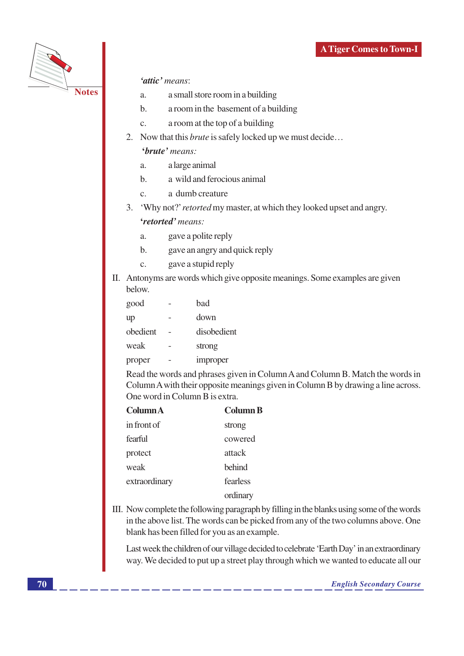

#### 'attic' means:

- a small store room in a building  $\overline{a}$ .
- a room in the basement of a building  $h_{\cdot}$
- a room at the top of a building  $\mathbf{c}$ .
- 2. Now that this *brute* is safely locked up we must decide...

#### 'brute' means:

- $a.$ a large animal
- a wild and ferocious animal  $\mathbf{b}$ .
- a dumb creature  $\mathcal{C}$ .
- 3. 'Why not?' retorted my master, at which they looked upset and angry.

#### 'retorted' means:

- gave a polite reply  $\overline{a}$ .
- gave an angry and quick reply  $<sub>b</sub>$ </sub>
- gave a stupid reply  $\mathbf{C}$ .
- II. Antonyms are words which give opposite meanings. Some examples are given below.

| good     | had         |
|----------|-------------|
| up       | down        |
| obedient | disobedient |
| weak     | strong      |
| proper   | improper    |

Read the words and phrases given in Column A and Column B. Match the words in Column A with their opposite meanings given in Column B by drawing a line across. One word in Column B is extra.

| Column A      | <b>Column B</b> |  |
|---------------|-----------------|--|
| in front of   | strong          |  |
| fearful       | cowered         |  |
| protect       | attack          |  |
| weak          | <b>behind</b>   |  |
| extraordinary | fearless        |  |
|               | ordinary        |  |

III. Now complete the following paragraph by filling in the blanks using some of the words in the above list. The words can be picked from any of the two columns above. One blank has been filled for you as an example.

Last week the children of our village decided to celebrate 'Earth Day' in an extraordinary way. We decided to put up a street play through which we wanted to educate all our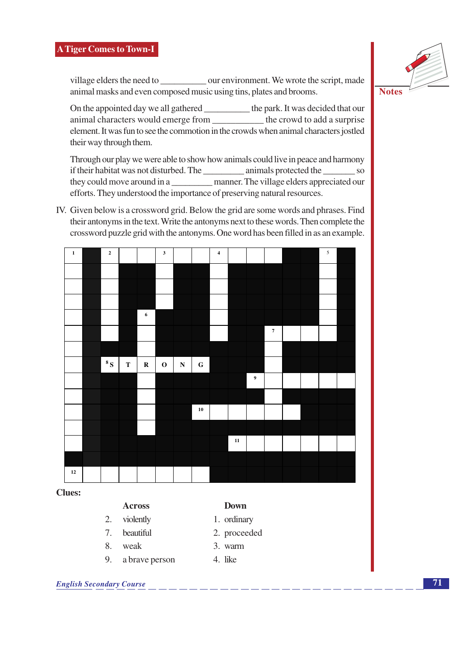animal masks and even composed music using tins, plates and brooms.

On the appointed day we all gathered \_\_\_\_\_\_\_\_\_\_\_ the park. It was decided that our animal characters would emerge from \_\_\_\_\_\_\_\_\_\_\_ the crowd to add a surprise element. It was fun to see the commotion in the crowds when animal characters jostled their way through them.

Through our play we were able to show how animals could live in peace and harmony they could move around in a \_\_\_\_\_\_\_\_\_\_\_\_\_ manner. The village elders appreciated our efforts. They understood the importance of preserving natural resources.

IV. Given below is a crossword grid. Below the grid are some words and phrases. Find their antonyms in the text. Write the antonyms next to these words. Then complete the crossword puzzle grid with the antonyms. One word has been filled in as an example.

# **Clues:**

#### **Across**

- 2. violently
- 7. beautiful
- 8. weak
- 9. a brave person
- **Down** 1. ordinary
- 2. proceeded
- 3. warm
- 4. like





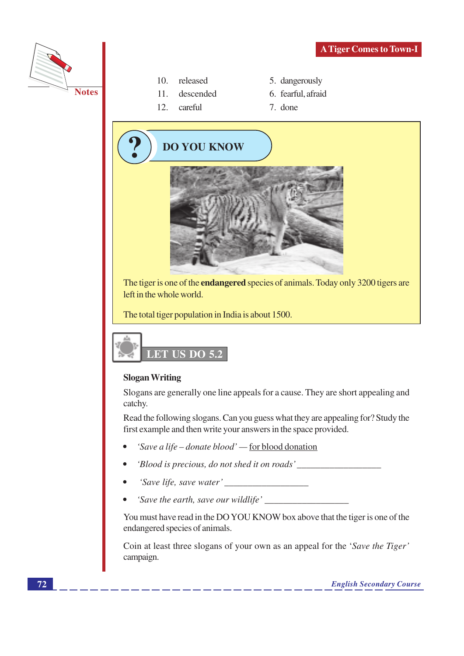



- $10.$ released
- $11.$ descended
- $12.$ careful
- 5. dangerously
- 6. fearful, afraid
- 7. done





#### **Slogan Writing**

Slogans are generally one line appeals for a cause. They are short appealing and catchy.

Read the following slogans. Can you guess what they are appealing for? Study the first example and then write your answers in the space provided.

- 'Save a life donate blood' for blood donation
- 'Blood is precious, do not shed it on roads'
- 'Save life, save water'
- 

You must have read in the DO YOU KNOW box above that the tiger is one of the endangered species of animals.

Coin at least three slogans of your own as an appeal for the 'Save the Tiger' campaign.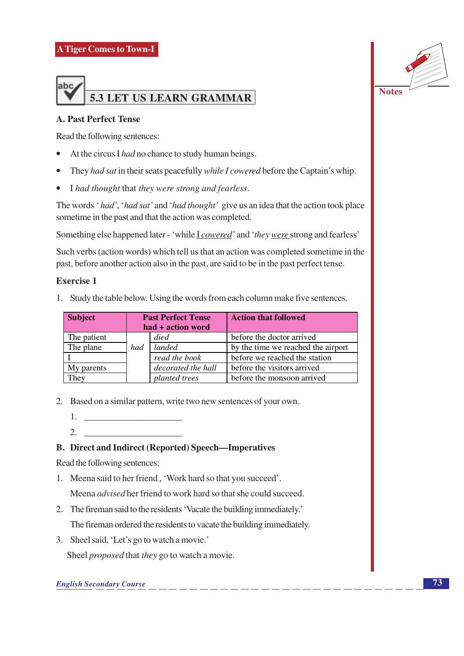

#### **A. Past Perfect Tense**

Read the following sentences:

- At the circus I had no chance to study human beings.  $\bullet$
- They had sat in their seats peacefully while I cowered before the Captain's whip.
- I had thought that they were strong and fearless.

The words 'had', 'had sat' and 'had thought' give us an idea that the action took place sometime in the past and that the action was completed.

Something else happened later - 'while *L* cowered' and 'they were strong and fearless'

Such verbs (action words) which tell us that an action was completed sometime in the past, before another action also in the past, are said to be in the past perfect tense.

#### **Exercise 1**

1. Study the table below. Using the words from each column make five sentences.

| <b>Subject</b>   | <b>Past Perfect Tense</b><br>had + action word |               | <b>Action that followed</b>        |
|------------------|------------------------------------------------|---------------|------------------------------------|
| The patient      |                                                | died          | before the doctor arrived          |
| The plane        | had                                            | landed        | by the time we reached the airport |
|                  |                                                | read the book | before we reached the station      |
| My parents       | decorated the hall                             |               | before the visitors arrived        |
| $r_{\text{hey}}$ |                                                | planted trees | before the monsoon arrived         |

2. Based on a similar pattern, write two new sentences of your own.

- 1. <u>\_\_\_\_\_\_\_\_\_\_\_\_\_\_\_\_\_\_\_\_\_\_</u>
- 2.

#### **B.** Direct and Indirect (Reported) Speech—Imperatives

Read the following sentences:

- 1. Meena said to her friend, 'Work hard so that you succeed'. Meena *advised* her friend to work hard so that she could succeed.
- 2. The fireman said to the residents 'Vacate the building immediately.' The fireman ordered the residents to vacate the building immediately.
- 3. Sheel said, 'Let's go to watch a movie.'

Sheel *proposed* that *they* go to watch a movie.

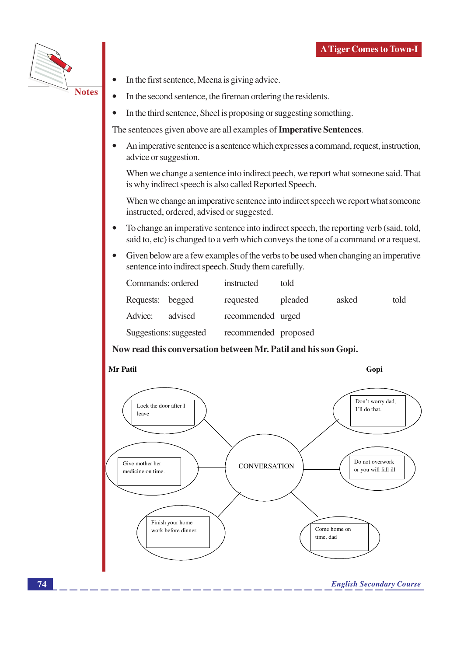

- In the first sentence, Meena is giving advice.
- In the second sentence, the fireman ordering the residents.  $\bullet$ 
	- In the third sentence, Sheel is proposing or suggesting something.

The sentences given above are all examples of Imperative Sentences.

 $\bullet$ An imperative sentence is a sentence which expresses a command, request, instruction, advice or suggestion.

When we change a sentence into indirect peech, we report what someone said. That is why indirect speech is also called Reported Speech.

When we change an imperative sentence into indirect speech we report what someone instructed, ordered, advised or suggested.

- To change an imperative sentence into indirect speech, the reporting verb (said, told, said to, etc) is changed to a verb which conveys the tone of a command or a request.
- Given below are a few examples of the verbs to be used when changing an imperative sentence into indirect speech. Study them carefully.

| Commands: ordered |                        | instructed           | told    |       |      |
|-------------------|------------------------|----------------------|---------|-------|------|
| Requests: begged  |                        | requested            | pleaded | asked | told |
| Advice:           | advised                | recommended urged    |         |       |      |
|                   | Suggestions: suggested | recommended proposed |         |       |      |

#### Now read this conversation between Mr. Patil and his son Gopi.

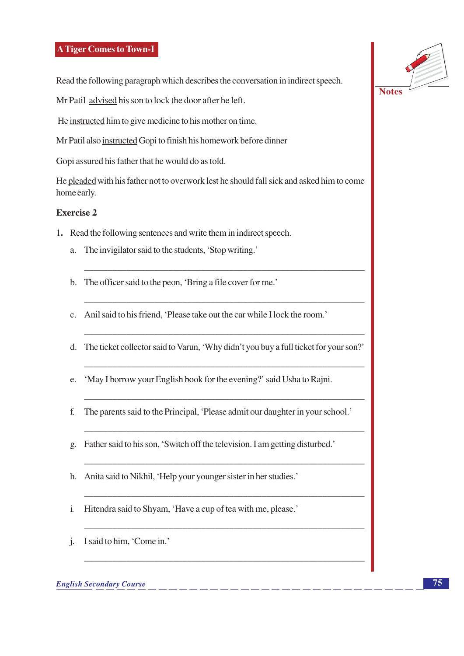Read the following paragraph which describes the conversation in indirect speech.

Mr Patil advised his son to lock the door after he left.

He instructed him to give medicine to his mother on time.

Mr Patil also instructed Gopi to finish his homework before dinner

Gopi assured his father that he would do as told.

He pleaded with his father not to overwork lest he should fall sick and asked him to come home early.

#### Exercise 2

- 1. Read the following sentences and write them in indirect speech.
	- a. The invigilator said to the students, 'Stop writing.'
	- b. The officer said to the peon, 'Bring a file cover for me.'
	- c. Anil said to his friend, 'Please take out the car while I lock the room.'
	- d. The ticket collector said to Varun, 'Why didn't you buy a full ticket for your son?'
	- e. 'May I borrow your English book for the evening?' said Usha to Rajni.
	- f. The parents said to the Principal, 'Please admit our daughter in your school.'
	- g. Father said to his son, 'Switch off the television. I am getting disturbed.'
	- h. Anita said to Nikhil, 'Help your younger sister in her studies.'
	- Hitendra said to Shyam, 'Have a cup of tea with me, please.'  $\mathbf{i}$ .
	- j. I said to him, 'Come in.'

**English Secondary Course** 



**Notes**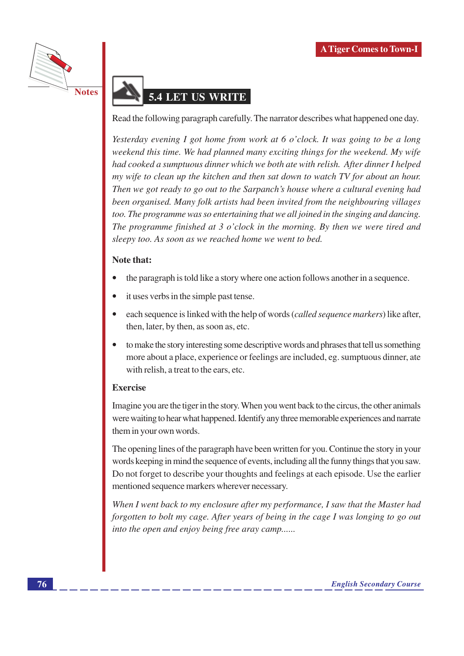

# **5.4 LET US WRITE**

Read the following paragraph carefully. The narrator describes what happened one day.

Yesterday evening I got home from work at 6 o'clock. It was going to be a long weekend this time. We had planned many exciting things for the weekend. My wife had cooked a sumptuous dinner which we both ate with relish. After dinner I helped my wife to clean up the kitchen and then sat down to watch TV for about an hour. Then we got ready to go out to the Sarpanch's house where a cultural evening had been organised. Many folk artists had been invited from the neighbouring villages too. The programme was so entertaining that we all joined in the singing and dancing. The programme finished at 3 o'clock in the morning. By then we were tired and sleepy too. As soon as we reached home we went to bed.

#### Note that:

- the paragraph is told like a story where one action follows another in a sequence.
- it uses verbs in the simple past tense.
- each sequence is linked with the help of words *(called sequence markers)* like after, then, later, by then, as soon as, etc.
- to make the story interesting some descriptive words and phrases that tell us something more about a place, experience or feelings are included, eg. sumptuous dinner, ate with relish, a treat to the ears, etc.

#### **Exercise**

Imagine you are the tiger in the story. When you went back to the circus, the other animals were waiting to hear what happened. Identify any three memorable experiences and narrate them in your own words.

The opening lines of the paragraph have been written for you. Continue the story in your words keeping in mind the sequence of events, including all the funny things that you saw. Do not forget to describe your thoughts and feelings at each episode. Use the earlier mentioned sequence markers wherever necessary.

When I went back to my enclosure after my performance, I saw that the Master had forgotten to bolt my cage. After years of being in the cage I was longing to go out into the open and enjoy being free aray camp......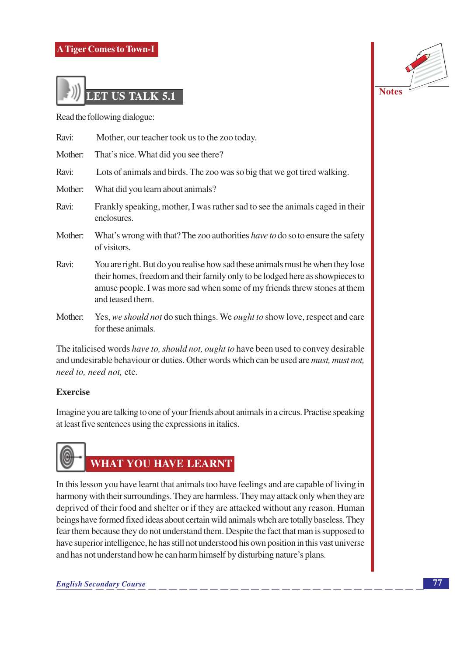

Read the following dialogue:

| Ravi:   | Mother, our teacher took us to the zoo today.                                                                                                                                                                                                                    |
|---------|------------------------------------------------------------------------------------------------------------------------------------------------------------------------------------------------------------------------------------------------------------------|
| Mother: | That's nice. What did you see there?                                                                                                                                                                                                                             |
| Ravi:   | Lots of animals and birds. The zoo was so big that we got tired walking.                                                                                                                                                                                         |
| Mother: | What did you learn about animals?                                                                                                                                                                                                                                |
| Ravi:   | Frankly speaking, mother, I was rather sad to see the animals caged in their<br>enclosures.                                                                                                                                                                      |
| Mother: | What's wrong with that? The zoo authorities have to do so to ensure the safety<br>of visitors.                                                                                                                                                                   |
| Ravi:   | You are right. But do you realise how sad these animals must be when they lose<br>their homes, freedom and their family only to be lodged here as showpieces to<br>amuse people. I was more sad when some of my friends threw stones at them<br>and teased them. |
| Mother: | Yes, we should not do such things. We ought to show love, respect and care<br>for these animals.                                                                                                                                                                 |

The italicised words have to, should not, ought to have been used to convey desirable and undesirable behaviour or duties. Other words which can be used are *must*, *must not*, need to, need not, etc.

#### Exercise

Imagine you are talking to one of your friends about animals in a circus. Practise speaking at least five sentences using the expressions in italics.



In this lesson you have learnt that animals too have feelings and are capable of living in harmony with their surroundings. They are harmless. They may attack only when they are deprived of their food and shelter or if they are attacked without any reason. Human beings have formed fixed ideas about certain wild animals whch are totally baseless. They fear them because they do not understand them. Despite the fact that man is supposed to have superior intelligence, he has still not understood his own position in this vast universe and has not understand how he can harm himself by disturbing nature's plans.

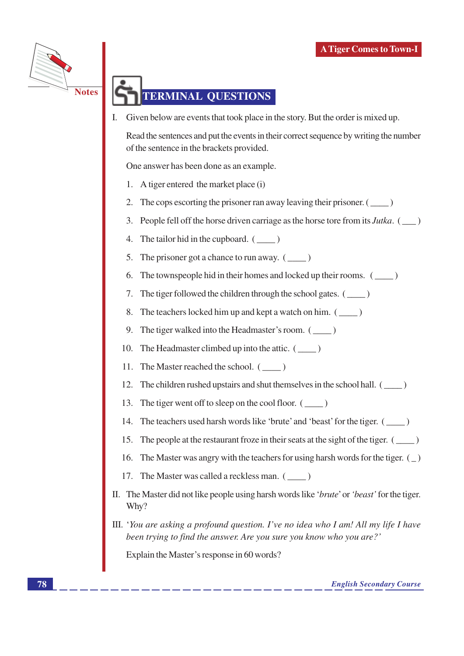

# **TERMINAL QUESTIONS**

Given below are events that took place in the story. But the order is mixed up.

Read the sentences and put the events in their correct sequence by writing the number of the sentence in the brackets provided.

One answer has been done as an example.

- A tiger entered the market place (i) 1.
- The cops escorting the prisoner ran away leaving their prisoner.  $($ 2.
- People fell off the horse driven carriage as the horse tore from its Jutka. (\_\_) 3.
- The tailor hid in the cupboard.  $(\_\_)$ 4.
- The prisoner got a chance to run away.  $(\_\_)$ 5.
- The townspeople hid in their homes and locked up their rooms. (\_\_\_\_) 6.
- The tiger followed the children through the school gates.  $($ 7.
- The teachers locked him up and kept a watch on him. (\_\_\_\_) 8.
- 9. The tiger walked into the Headmaster's room. (\_\_\_\_\_)
- The Headmaster climbed up into the attic. (\_\_\_\_\_) 10.
- The Master reached the school.  $(\_\_)$ 11.
- The children rushed upstairs and shut themselves in the school hall.  $(\_\_)$ 12.
- The tiger went off to sleep on the cool floor. (\_\_\_\_) 13.
- The teachers used harsh words like 'brute' and 'beast' for the tiger. (\_\_\_\_\_) 14.
- The people at the restaurant froze in their seats at the sight of the tiger.  $(\_\_)$ 15.
- The Master was angry with the teachers for using harsh words for the tiger.  $($ 16.
- 17. The Master was called a reckless man. (\_\_\_\_)
- II. The Master did not like people using harsh words like 'brute' or 'beast' for the tiger. Why?
- $III.$  'You are asking a profound question. I've no idea who I am! All my life I have been trying to find the answer. Are you sure you know who you are?'

Explain the Master's response in 60 words?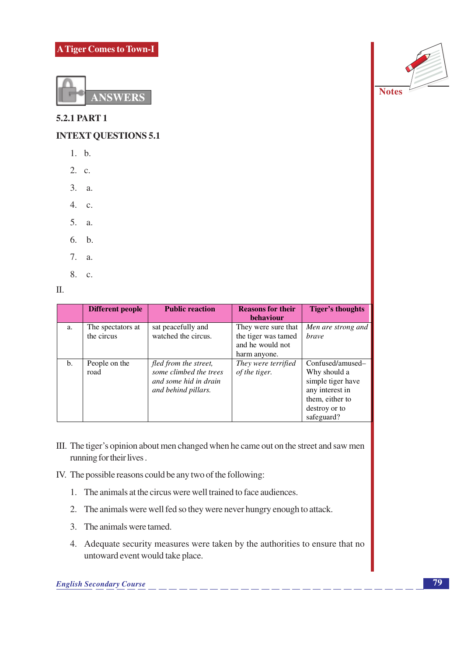

**5.2.1 PART 1** 

**INTEXT QUESTIONS 5.1** 

- $1. b.$
- 2. c.
- 3. a.
- 4. c.
- 5. a.
- 6. b.
- 7. a.
- 8. c.

 $\Pi$ .

|     | Different people                | <b>Public reaction</b>                                                                          | <b>Reasons for their</b><br><b>behaviour</b>                                   | <b>Tiger's thoughts</b>                                                                                                    |
|-----|---------------------------------|-------------------------------------------------------------------------------------------------|--------------------------------------------------------------------------------|----------------------------------------------------------------------------------------------------------------------------|
| a.  | The spectators at<br>the circus | sat peacefully and<br>watched the circus.                                                       | They were sure that<br>the tiger was tamed<br>and he would not<br>harm anyone. | Men are strong and<br><i>brave</i>                                                                                         |
| $b$ | People on the<br>road           | fled from the street,<br>some climbed the trees<br>and some hid in drain<br>and behind pillars. | They were terrified<br>of the tiger.                                           | Confused/amused-<br>Why should a<br>simple tiger have<br>any interest in<br>them, either to<br>destroy or to<br>safeguard? |

- III. The tiger's opinion about men changed when he came out on the street and saw men running for their lives.
- IV. The possible reasons could be any two of the following:
	- 1. The animals at the circus were well trained to face audiences.
	- 2. The animals were well fed so they were never hungry enough to attack.
	- 3. The animals were tamed.
	- 4. Adequate security measures were taken by the authorities to ensure that no untoward event would take place.



**Notes**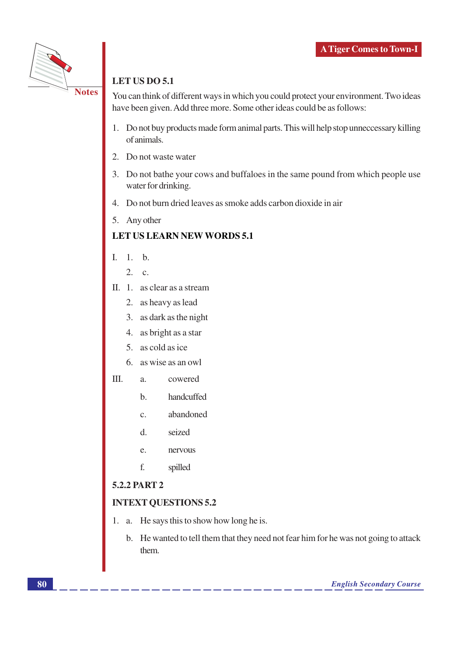

# LET US DO 5.1

You can think of different ways in which you could protect your environment. Two ideas have been given. Add three more. Some other ideas could be as follows:

- 1. Do not buy products made form animal parts. This will help stop unneccessary killing of animals.
- 2. Do not waste water
- 3. Do not bathe your cows and buffaloes in the same pound from which people use water for drinking.
- 4. Do not burn dried leaves as smoke adds carbon dioxide in air
- 5. Any other

## **LET US LEARN NEW WORDS 5.1**

- $I. \quad 1.$ b.
	- $2.$  $\mathbf{c}$ .
- $II. 1.$  as clear as a stream
	- 2. as heavy as lead
	- 3. as dark as the night
	- 4. as bright as a star
	- 5. as cold as ice
	- 6. as wise as an owl
- III. cowered  $\overline{a}$ .
	- handcuffed  $<sub>b</sub>$ </sub>
	- abandoned  $\mathbf{C}$ .
	- $d$ . seized
	- nervous e.
	- f. spilled

## 5.2.2 PART 2

## **INTEXT QUESTIONS 5.2**

- 1. a. He says this to show how long he is.
	- b. He wanted to tell them that they need not fear him for he was not going to attack them.